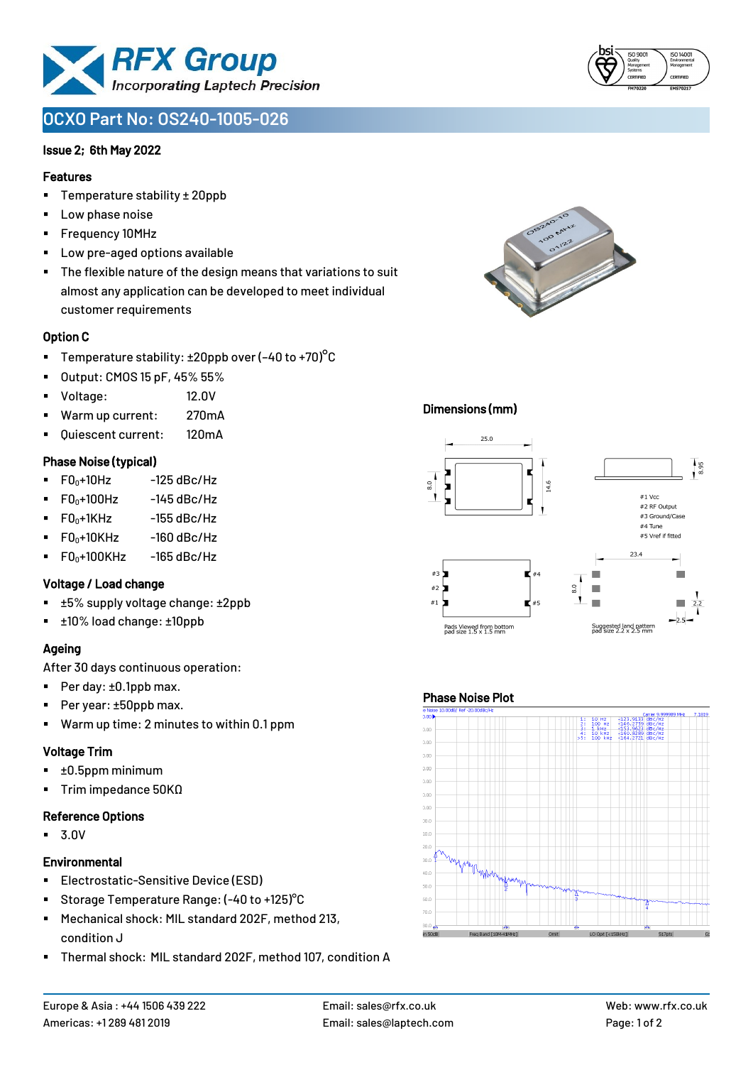

# **OCXO Part No: OS240-1005-026**

### Issue 2; 6th May 2022

#### Features

- Temperature stability ± 20ppb
- Low phase noise
- Frequency 10MHz
- Low pre-aged options available
- The flexible nature of the design means that variations to suit almost any application can be developed to meet individual customer requirements

#### Option C

- **•** Temperature stability:  $\pm 20$ ppb over (-40 to +70)<sup>o</sup>C
- Output: CMOS 15 pF, 45% 55%
- Voltage: 12.0V
- Warm up current: 270mA
- Quiescent current: 120mA

#### Phase Noise (typical)

- $\blacksquare$  F0 $\scriptstyle\bullet$ +10Hz -125 dBc/Hz
- $FO<sub>0</sub>+100Hz$  -145 dBc/Hz
- $F0_0+1$ KHz  $-155$  dBc/Hz
- $F0_0+10K$ Hz  $-160$  dBc/Hz
- $\blacksquare$  F0<sub>0</sub>+100KHz -165 dBc/Hz

#### Voltage / Load change

- ±5% supply voltage change: ±2ppb
- ±10% load change: ±10ppb

# Ageing

After 30 days continuous operation:

- Per day: ±0.1ppb max.
- Per year: ±50ppb max.
- Warm up time: 2 minutes to within 0.1 ppm

# Voltage Trim

- $\blacksquare$   $\pm 0.5$ ppm minimum
- Trim impedance 50KΩ

# Reference Options

▪ 3.0V

# **Environmental**

- **Electrostatic-Sensitive Device (ESD)**
- Storage Temperature Range: (-40 to +125) °C
- Mechanical shock: MIL standard 202F, method 213, condition J
- Thermal shock: MIL standard 202F, method 107, condition A





## Dimensions (mm)



### Phase Noise Plot